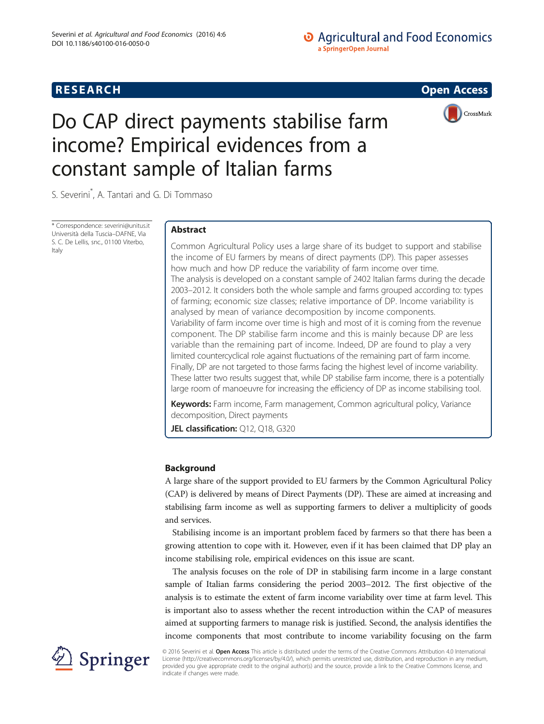# **RESEARCH RESEARCH CONSUMING ACCESS**

# **O** Agricultural and Food Economics a SpringerOpen Journal

CrossMark



S. Severini\* , A. Tantari and G. Di Tommaso

\* Correspondence: [severini@unitus.it](mailto:severini@unitus.it) Università della Tuscia–DAFNE, Via S. C. De Lellis, snc., 01100 Viterbo, Italy

# Abstract

Common Agricultural Policy uses a large share of its budget to support and stabilise the income of EU farmers by means of direct payments (DP). This paper assesses how much and how DP reduce the variability of farm income over time. The analysis is developed on a constant sample of 2402 Italian farms during the decade 2003–2012. It considers both the whole sample and farms grouped according to: types of farming; economic size classes; relative importance of DP. Income variability is analysed by mean of variance decomposition by income components. Variability of farm income over time is high and most of it is coming from the revenue component. The DP stabilise farm income and this is mainly because DP are less variable than the remaining part of income. Indeed, DP are found to play a very limited countercyclical role against fluctuations of the remaining part of farm income. Finally, DP are not targeted to those farms facing the highest level of income variability. These latter two results suggest that, while DP stabilise farm income, there is a potentially large room of manoeuvre for increasing the efficiency of DP as income stabilising tool.

Keywords: Farm income, Farm management, Common agricultural policy, Variance decomposition, Direct payments

JEL classification: Q12, Q18, G320

## Background

A large share of the support provided to EU farmers by the Common Agricultural Policy (CAP) is delivered by means of Direct Payments (DP). These are aimed at increasing and stabilising farm income as well as supporting farmers to deliver a multiplicity of goods and services.

Stabilising income is an important problem faced by farmers so that there has been a growing attention to cope with it. However, even if it has been claimed that DP play an income stabilising role, empirical evidences on this issue are scant.

The analysis focuses on the role of DP in stabilising farm income in a large constant sample of Italian farms considering the period 2003–2012. The first objective of the analysis is to estimate the extent of farm income variability over time at farm level. This is important also to assess whether the recent introduction within the CAP of measures aimed at supporting farmers to manage risk is justified. Second, the analysis identifies the income components that most contribute to income variability focusing on the farm



© 2016 Severini et al. **Open Access** This article is distributed under the terms of the Creative Commons Attribution 4.0 International License [\(http://creativecommons.org/licenses/by/4.0/](http://creativecommons.org/licenses/by/4.0/)), which permits unrestricted use, distribution, and reproduction in any medium, provided you give appropriate credit to the original author(s) and the source, provide a link to the Creative Commons license, and indicate if changes were made.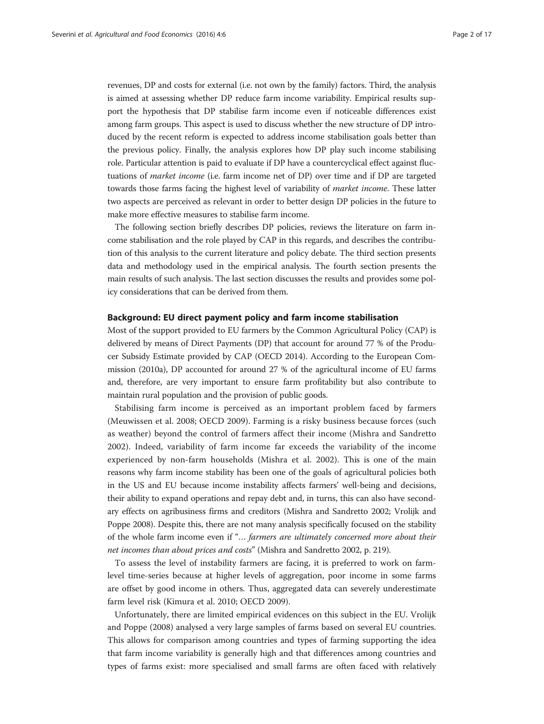revenues, DP and costs for external (i.e. not own by the family) factors. Third, the analysis is aimed at assessing whether DP reduce farm income variability. Empirical results support the hypothesis that DP stabilise farm income even if noticeable differences exist among farm groups. This aspect is used to discuss whether the new structure of DP introduced by the recent reform is expected to address income stabilisation goals better than the previous policy. Finally, the analysis explores how DP play such income stabilising role. Particular attention is paid to evaluate if DP have a countercyclical effect against fluctuations of market income (i.e. farm income net of DP) over time and if DP are targeted towards those farms facing the highest level of variability of market income. These latter two aspects are perceived as relevant in order to better design DP policies in the future to make more effective measures to stabilise farm income.

The following section briefly describes DP policies, reviews the literature on farm income stabilisation and the role played by CAP in this regards, and describes the contribution of this analysis to the current literature and policy debate. The third section presents data and methodology used in the empirical analysis. The fourth section presents the main results of such analysis. The last section discusses the results and provides some policy considerations that can be derived from them.

### Background: EU direct payment policy and farm income stabilisation

Most of the support provided to EU farmers by the Common Agricultural Policy (CAP) is delivered by means of Direct Payments (DP) that account for around 77 % of the Producer Subsidy Estimate provided by CAP (OECD [2014\)](#page-16-0). According to the European Commission [\(2010a\)](#page-16-0), DP accounted for around 27 % of the agricultural income of EU farms and, therefore, are very important to ensure farm profitability but also contribute to maintain rural population and the provision of public goods.

Stabilising farm income is perceived as an important problem faced by farmers (Meuwissen et al. [2008](#page-16-0); OECD [2009\)](#page-16-0). Farming is a risky business because forces (such as weather) beyond the control of farmers affect their income (Mishra and Sandretto [2002\)](#page-16-0). Indeed, variability of farm income far exceeds the variability of the income experienced by non-farm households (Mishra et al. [2002](#page-16-0)). This is one of the main reasons why farm income stability has been one of the goals of agricultural policies both in the US and EU because income instability affects farmers' well-being and decisions, their ability to expand operations and repay debt and, in turns, this can also have secondary effects on agribusiness firms and creditors (Mishra and Sandretto [2002;](#page-16-0) Vrolijk and Poppe [2008\)](#page-16-0). Despite this, there are not many analysis specifically focused on the stability of the whole farm income even if "… farmers are ultimately concerned more about their net incomes than about prices and costs" (Mishra and Sandretto [2002](#page-16-0), p. 219).

To assess the level of instability farmers are facing, it is preferred to work on farmlevel time-series because at higher levels of aggregation, poor income in some farms are offset by good income in others. Thus, aggregated data can severely underestimate farm level risk (Kimura et al. [2010](#page-16-0); OECD [2009\)](#page-16-0).

Unfortunately, there are limited empirical evidences on this subject in the EU. Vrolijk and Poppe [\(2008\)](#page-16-0) analysed a very large samples of farms based on several EU countries. This allows for comparison among countries and types of farming supporting the idea that farm income variability is generally high and that differences among countries and types of farms exist: more specialised and small farms are often faced with relatively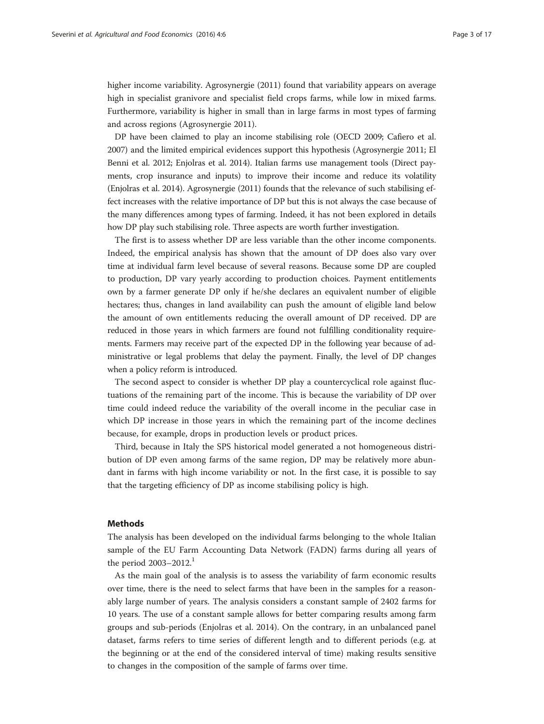higher income variability. Agrosynergie ([2011](#page-16-0)) found that variability appears on average high in specialist granivore and specialist field crops farms, while low in mixed farms. Furthermore, variability is higher in small than in large farms in most types of farming and across regions (Agrosynergie [2011\)](#page-16-0).

DP have been claimed to play an income stabilising role (OECD [2009](#page-16-0); Cafiero et al. [2007\)](#page-16-0) and the limited empirical evidences support this hypothesis (Agrosynergie [2011](#page-16-0); El Benni et al. [2012;](#page-16-0) Enjolras et al. [2014\)](#page-16-0). Italian farms use management tools (Direct payments, crop insurance and inputs) to improve their income and reduce its volatility (Enjolras et al. [2014\)](#page-16-0). Agrosynergie [\(2011\)](#page-16-0) founds that the relevance of such stabilising effect increases with the relative importance of DP but this is not always the case because of the many differences among types of farming. Indeed, it has not been explored in details how DP play such stabilising role. Three aspects are worth further investigation.

The first is to assess whether DP are less variable than the other income components. Indeed, the empirical analysis has shown that the amount of DP does also vary over time at individual farm level because of several reasons. Because some DP are coupled to production, DP vary yearly according to production choices. Payment entitlements own by a farmer generate DP only if he/she declares an equivalent number of eligible hectares; thus, changes in land availability can push the amount of eligible land below the amount of own entitlements reducing the overall amount of DP received. DP are reduced in those years in which farmers are found not fulfilling conditionality requirements. Farmers may receive part of the expected DP in the following year because of administrative or legal problems that delay the payment. Finally, the level of DP changes when a policy reform is introduced.

The second aspect to consider is whether DP play a countercyclical role against fluctuations of the remaining part of the income. This is because the variability of DP over time could indeed reduce the variability of the overall income in the peculiar case in which DP increase in those years in which the remaining part of the income declines because, for example, drops in production levels or product prices.

Third, because in Italy the SPS historical model generated a not homogeneous distribution of DP even among farms of the same region, DP may be relatively more abundant in farms with high income variability or not. In the first case, it is possible to say that the targeting efficiency of DP as income stabilising policy is high.

#### Methods

The analysis has been developed on the individual farms belonging to the whole Italian sample of the EU Farm Accounting Data Network (FADN) farms during all years of the period  $2003-2012.<sup>1</sup>$ 

As the main goal of the analysis is to assess the variability of farm economic results over time, there is the need to select farms that have been in the samples for a reasonably large number of years. The analysis considers a constant sample of 2402 farms for 10 years. The use of a constant sample allows for better comparing results among farm groups and sub-periods (Enjolras et al. [2014](#page-16-0)). On the contrary, in an unbalanced panel dataset, farms refers to time series of different length and to different periods (e.g. at the beginning or at the end of the considered interval of time) making results sensitive to changes in the composition of the sample of farms over time.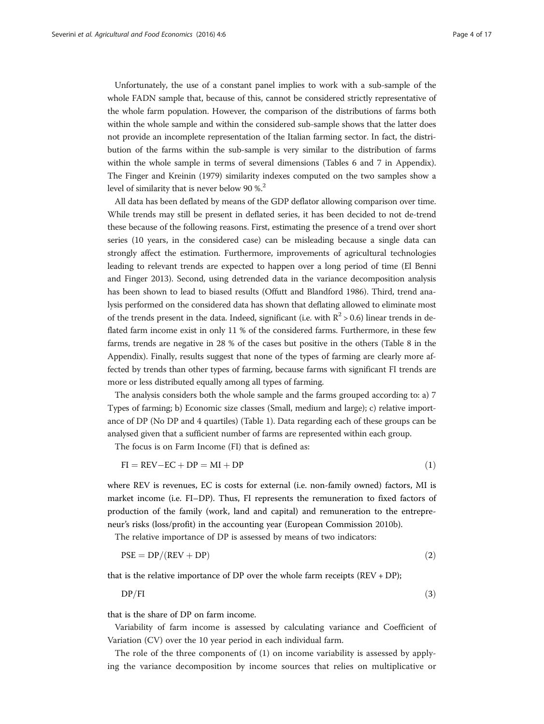<span id="page-3-0"></span>Unfortunately, the use of a constant panel implies to work with a sub-sample of the whole FADN sample that, because of this, cannot be considered strictly representative of the whole farm population. However, the comparison of the distributions of farms both within the whole sample and within the considered sub-sample shows that the latter does not provide an incomplete representation of the Italian farming sector. In fact, the distribution of the farms within the sub-sample is very similar to the distribution of farms within the whole sample in terms of several dimensions (Tables 6 and 7 in [Appendix](#page-13-0)). The Finger and Kreinin [\(1979](#page-16-0)) similarity indexes computed on the two samples show a level of similarity that is never below 90 %.<sup>2</sup>

All data has been deflated by means of the GDP deflator allowing comparison over time. While trends may still be present in deflated series, it has been decided to not de-trend these because of the following reasons. First, estimating the presence of a trend over short series (10 years, in the considered case) can be misleading because a single data can strongly affect the estimation. Furthermore, improvements of agricultural technologies leading to relevant trends are expected to happen over a long period of time (El Benni and Finger [2013\)](#page-16-0). Second, using detrended data in the variance decomposition analysis has been shown to lead to biased results (Offutt and Blandford [1986](#page-16-0)). Third, trend analysis performed on the considered data has shown that deflating allowed to eliminate most of the trends present in the data. Indeed, significant (i.e. with  $R^2 > 0.6$ ) linear trends in deflated farm income exist in only 11 % of the considered farms. Furthermore, in these few farms, trends are negative in 28 % of the cases but positive in the others (Table 8 in the [Appendix\)](#page-13-0). Finally, results suggest that none of the types of farming are clearly more affected by trends than other types of farming, because farms with significant FI trends are more or less distributed equally among all types of farming.

The analysis considers both the whole sample and the farms grouped according to: a) 7 Types of farming; b) Economic size classes (Small, medium and large); c) relative importance of DP (No DP and 4 quartiles) (Table [1](#page-4-0)). Data regarding each of these groups can be analysed given that a sufficient number of farms are represented within each group.

The focus is on Farm Income (FI) that is defined as:

$$
FI = REV - EC + DP = MI + DP
$$
 (1)

where REV is revenues, EC is costs for external (i.e. non-family owned) factors, MI is market income (i.e. FI–DP). Thus, FI represents the remuneration to fixed factors of production of the family (work, land and capital) and remuneration to the entrepreneur's risks (loss/profit) in the accounting year (European Commission [2010b\)](#page-16-0).

The relative importance of DP is assessed by means of two indicators:

$$
PSE = DP/(REV + DP)
$$
 (2)

that is the relative importance of DP over the whole farm receipts  $(REV + DP)$ ;

$$
DP/FI \tag{3}
$$

that is the share of DP on farm income.

Variability of farm income is assessed by calculating variance and Coefficient of Variation (CV) over the 10 year period in each individual farm.

The role of the three components of (1) on income variability is assessed by applying the variance decomposition by income sources that relies on multiplicative or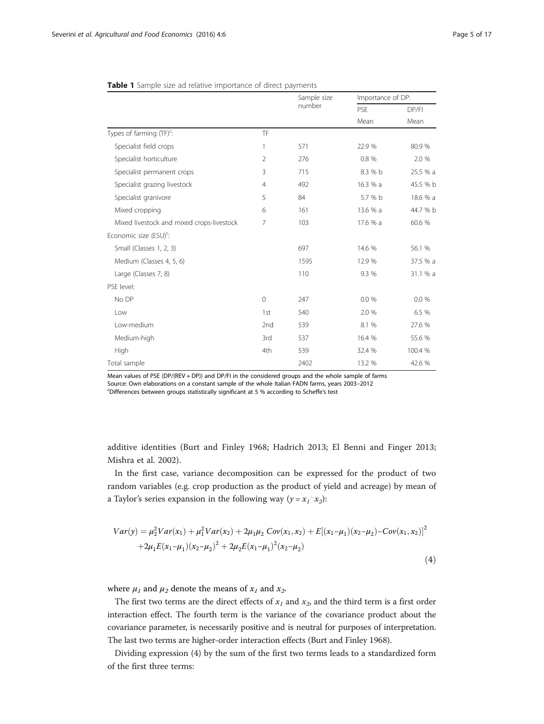|                                           |                | Sample size |          | Importance of DP: |  |
|-------------------------------------------|----------------|-------------|----------|-------------------|--|
|                                           |                | number      | PSE      | DP/FI             |  |
|                                           |                |             | Mean     | Mean              |  |
| Types of farming $(TF)^c$ :               | TF             |             |          |                   |  |
| Specialist field crops                    | 1              | 571         | 22.9 %   | 80.9 %            |  |
| Specialist horticulture                   | $\overline{2}$ | 276         | 0.8 %    | 2.0 %             |  |
| Specialist permanent crops                | 3              | 715         | 8.3 % b  | 25.5 % a          |  |
| Specialist grazing livestock              | $\overline{4}$ | 492         | 16.3 % a | 45.5 % b          |  |
| Specialist granivore                      | 5              | 84          | 5.7 % b  | 18.6 % a          |  |
| Mixed cropping                            | 6              | 161         | 13.6 % a | 44.7 % b          |  |
| Mixed livestock and mixed crops-livestock | 7              | 103         | 17.6 % a | 60.6 %            |  |
| Economic size (ESU) <sup>c</sup> :        |                |             |          |                   |  |
| Small (Classes 1, 2, 3)                   |                | 697         | 14.6 %   | 56.1 %            |  |
| Medium (Classes 4, 5, 6)                  |                | 1595        | 12.9 %   | 37.5 % a          |  |
| Large (Classes 7, 8)                      |                | 110         | 9.3 %    | 31.1 % a          |  |
| PSE level:                                |                |             |          |                   |  |
| No DP                                     | $\mathbf{0}$   | 247         | 0.0 %    | 0.0 %             |  |
| Low                                       | 1st            | 540         | 2.0 %    | 6.5 %             |  |
| Low-medium                                | 2nd            | 539         | 8.1 %    | 27.6 %            |  |
| Medium-high                               | 3rd            | 537         | 16.4 %   | 55.6 %            |  |
| High                                      | 4th            | 539         | 32.4 %   | 100.4 %           |  |
| Total sample                              |                | 2402        | 13.2 %   | 42.6 %            |  |

<span id="page-4-0"></span>

|  |  |  |  |  |  |  |  |  |  |  | <b>Table 1</b> Sample size ad relative importance of direct payments |  |
|--|--|--|--|--|--|--|--|--|--|--|----------------------------------------------------------------------|--|
|--|--|--|--|--|--|--|--|--|--|--|----------------------------------------------------------------------|--|

Mean values of PSE (DP/(REV + DP)) and DP/FI in the considered groups and the whole sample of farms Source: Own elaborations on a constant sample of the whole Italian FADN farms, years 2003-2012

Differences between groups statistically significant at 5 % according to Scheffe's test

additive identities (Burt and Finley [1968](#page-16-0); Hadrich [2013](#page-16-0); El Benni and Finger [2013](#page-16-0); Mishra et al. [2002\)](#page-16-0).

In the first case, variance decomposition can be expressed for the product of two random variables (e.g. crop production as the product of yield and acreage) by mean of a Taylor's series expansion in the following way  $(y = x_1 \cdot x_2)$ :

$$
Var(y) = \mu_2^2 Var(x_1) + \mu_1^2 Var(x_2) + 2\mu_1 \mu_2 Cov(x_1, x_2) + E[(x_1 - \mu_1)(x_2 - \mu_2) - Cov(x_1, x_2)]^2
$$
  
+2\mu\_1 E(x\_1 - \mu\_1)(x\_2 - \mu\_2)^2 + 2\mu\_2 E(x\_1 - \mu\_1)^2(x\_2 - \mu\_2) (4)

where  $\mu_1$  and  $\mu_2$  denote the means of  $x_1$  and  $x_2$ .

The first two terms are the direct effects of  $x_1$  and  $x_2$ , and the third term is a first order interaction effect. The fourth term is the variance of the covariance product about the covariance parameter, is necessarily positive and is neutral for purposes of interpretation. The last two terms are higher-order interaction effects (Burt and Finley [1968\)](#page-16-0).

Dividing expression (4) by the sum of the first two terms leads to a standardized form of the first three terms: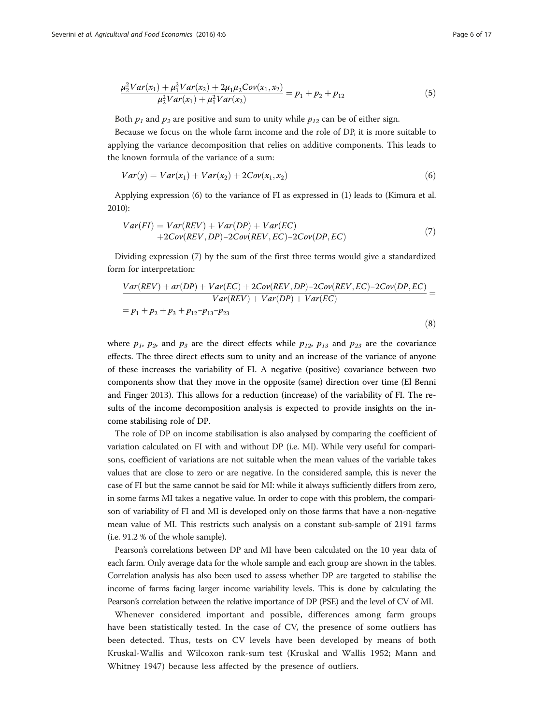$$
\frac{\mu_2^2 Var(x_1) + \mu_1^2 Var(x_2) + 2\mu_1 \mu_2 Cov(x_1, x_2)}{\mu_2^2 Var(x_1) + \mu_1^2 Var(x_2)} = p_1 + p_2 + p_{12}
$$
\n(5)

Both  $p_1$  and  $p_2$  are positive and sum to unity while  $p_{12}$  can be of either sign.

Because we focus on the whole farm income and the role of DP, it is more suitable to applying the variance decomposition that relies on additive components. This leads to the known formula of the variance of a sum:

$$
Var(y) = Var(x_1) + Var(x_2) + 2Cov(x_1, x_2)
$$
\n(6)

Applying expression (6) to the variance of FI as expressed in ([1\)](#page-3-0) leads to (Kimura et al. [2010\)](#page-16-0):

$$
Var(FI) = Var(REV) + Var(DP) + Var(EC)
$$
  
+2Cov(REV, DP) - 2Cov(REV, EC) - 2Cov(DP, EC) (7)

Dividing expression (7) by the sum of the first three terms would give a standardized form for interpretation:

$$
\frac{Var(REV) + ar(DP) + Var(EC) + 2Cov(REV, DP) - 2Cov(REV, EC) - 2Cov(DP, EC)}{Var(REV) + Var(DP) + Var(EC)} =
$$
  
=  $p_1 + p_2 + p_3 + p_{12} - p_{13} - p_{23}$  (8)

where  $p_1$ ,  $p_2$ , and  $p_3$  are the direct effects while  $p_{12}$ ,  $p_{13}$  and  $p_{23}$  are the covariance effects. The three direct effects sum to unity and an increase of the variance of anyone of these increases the variability of FI. A negative (positive) covariance between two components show that they move in the opposite (same) direction over time (El Benni and Finger [2013\)](#page-16-0). This allows for a reduction (increase) of the variability of FI. The results of the income decomposition analysis is expected to provide insights on the income stabilising role of DP.

The role of DP on income stabilisation is also analysed by comparing the coefficient of variation calculated on FI with and without DP (i.e. MI). While very useful for comparisons, coefficient of variations are not suitable when the mean values of the variable takes values that are close to zero or are negative. In the considered sample, this is never the case of FI but the same cannot be said for MI: while it always sufficiently differs from zero, in some farms MI takes a negative value. In order to cope with this problem, the comparison of variability of FI and MI is developed only on those farms that have a non-negative mean value of MI. This restricts such analysis on a constant sub-sample of 2191 farms (i.e. 91.2 % of the whole sample).

Pearson's correlations between DP and MI have been calculated on the 10 year data of each farm. Only average data for the whole sample and each group are shown in the tables. Correlation analysis has also been used to assess whether DP are targeted to stabilise the income of farms facing larger income variability levels. This is done by calculating the Pearson's correlation between the relative importance of DP (PSE) and the level of CV of MI.

Whenever considered important and possible, differences among farm groups have been statistically tested. In the case of CV, the presence of some outliers has been detected. Thus, tests on CV levels have been developed by means of both Kruskal-Wallis and Wilcoxon rank-sum test (Kruskal and Wallis [1952;](#page-16-0) Mann and Whitney [1947](#page-16-0)) because less affected by the presence of outliers.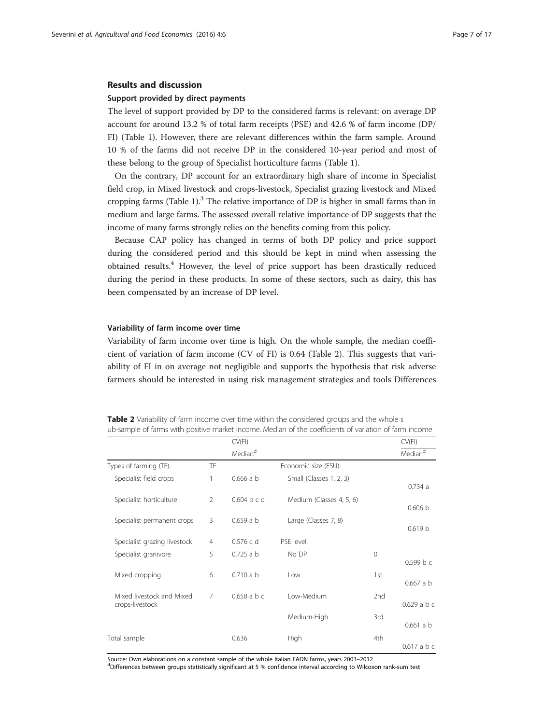#### <span id="page-6-0"></span>Results and discussion

### Support provided by direct payments

The level of support provided by DP to the considered farms is relevant: on average DP account for around 13.2 % of total farm receipts (PSE) and 42.6 % of farm income (DP/ FI) (Table [1\)](#page-4-0). However, there are relevant differences within the farm sample. Around 10 % of the farms did not receive DP in the considered 10-year period and most of these belong to the group of Specialist horticulture farms (Table [1\)](#page-4-0).

On the contrary, DP account for an extraordinary high share of income in Specialist field crop, in Mixed livestock and crops-livestock, Specialist grazing livestock and Mixed cropping farms (Table [1](#page-4-0)).<sup>3</sup> The relative importance of DP is higher in small farms than in medium and large farms. The assessed overall relative importance of DP suggests that the income of many farms strongly relies on the benefits coming from this policy.

Because CAP policy has changed in terms of both DP policy and price support during the considered period and this should be kept in mind when assessing the obtained results.<sup>4</sup> However, the level of price support has been drastically reduced during the period in these products. In some of these sectors, such as dairy, this has been compensated by an increase of DP level.

### Variability of farm income over time

Variability of farm income over time is high. On the whole sample, the median coefficient of variation of farm income (CV of FI) is 0.64 (Table 2). This suggests that variability of FI in on average not negligible and supports the hypothesis that risk adverse farmers should be interested in using risk management strategies and tools Differences

|  | Table 2 Variability of farm income over time within the considered groups and the whole s              |  |
|--|--------------------------------------------------------------------------------------------------------|--|
|  | ub-sample of farms with positive market income. Median of the coefficients of variation of farm income |  |

|                                              |                | CV(FI)              |                          |              | CV(FI)              |
|----------------------------------------------|----------------|---------------------|--------------------------|--------------|---------------------|
|                                              |                | Median <sup>d</sup> |                          |              | Median <sup>d</sup> |
| Types of farming (TF):                       | TF             |                     | Economic size (ESU):     |              |                     |
| Specialist field crops                       |                | 0.666a b            | Small (Classes 1, 2, 3)  |              | 0.734a              |
| Specialist horticulture                      | $\overline{2}$ | 0.604 b c d         | Medium (Classes 4, 5, 6) |              | 0.606 b             |
| Specialist permanent crops                   | 3              | 0.659a b            | Large (Classes 7, 8)     |              | 0.619 b             |
| Specialist grazing livestock                 | 4              | 0.576 c d           | PSE level:               |              |                     |
| Specialist granivore                         | 5              | 0.725a b            | No DP                    | $\mathbf{0}$ | 0.599 b c           |
| Mixed cropping                               | 6              | 0.710a b            | l ow                     | 1st          | $0.667$ a b         |
| Mixed livestock and Mixed<br>crops-livestock | $\overline{7}$ | $0.658$ a b c       | Low-Medium               | 2nd          | $0.629$ a b c       |
|                                              |                |                     | Medium-High              | 3rd          | $0.661$ a b         |
| Total sample                                 |                | 0.636               | High                     | 4th          | $0.617$ a b c       |

Source: Own elaborations on a constant sample of the whole Italian FADN farms, years 2003-2012

 $\sigma$ Differences between groups statistically significant at 5 % confidence interval according to Wilcoxon rank-sum test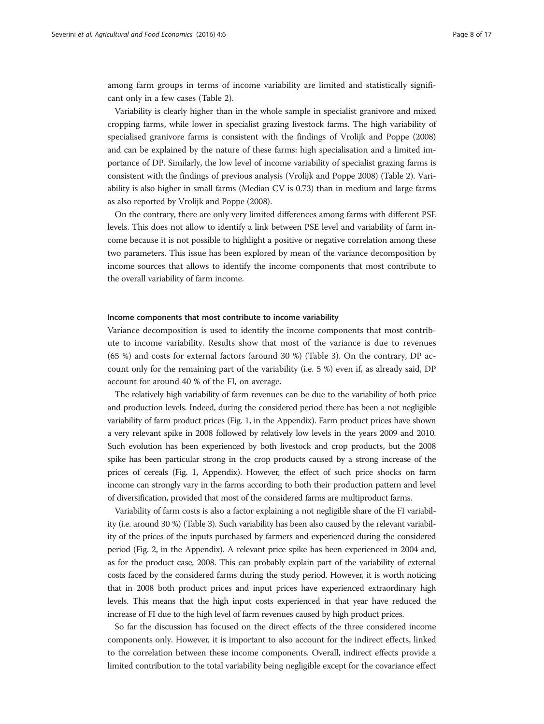among farm groups in terms of income variability are limited and statistically significant only in a few cases (Table [2\)](#page-6-0).

Variability is clearly higher than in the whole sample in specialist granivore and mixed cropping farms, while lower in specialist grazing livestock farms. The high variability of specialised granivore farms is consistent with the findings of Vrolijk and Poppe [\(2008](#page-16-0)) and can be explained by the nature of these farms: high specialisation and a limited importance of DP. Similarly, the low level of income variability of specialist grazing farms is consistent with the findings of previous analysis (Vrolijk and Poppe [2008](#page-16-0)) (Table [2\)](#page-6-0). Variability is also higher in small farms (Median CV is 0.73) than in medium and large farms as also reported by Vrolijk and Poppe [\(2008\)](#page-16-0).

On the contrary, there are only very limited differences among farms with different PSE levels. This does not allow to identify a link between PSE level and variability of farm income because it is not possible to highlight a positive or negative correlation among these two parameters. This issue has been explored by mean of the variance decomposition by income sources that allows to identify the income components that most contribute to the overall variability of farm income.

## Income components that most contribute to income variability

Variance decomposition is used to identify the income components that most contribute to income variability. Results show that most of the variance is due to revenues (65 %) and costs for external factors (around 30 %) (Table [3\)](#page-8-0). On the contrary, DP account only for the remaining part of the variability (i.e. 5 %) even if, as already said, DP account for around 40 % of the FI, on average.

The relatively high variability of farm revenues can be due to the variability of both price and production levels. Indeed, during the considered period there has been a not negligible variability of farm product prices (Fig. 1, in the [Appendix](#page-13-0)). Farm product prices have shown a very relevant spike in 2008 followed by relatively low levels in the years 2009 and 2010. Such evolution has been experienced by both livestock and crop products, but the 2008 spike has been particular strong in the crop products caused by a strong increase of the prices of cereals (Fig. 1, [Appendix\)](#page-13-0). However, the effect of such price shocks on farm income can strongly vary in the farms according to both their production pattern and level of diversification, provided that most of the considered farms are multiproduct farms.

Variability of farm costs is also a factor explaining a not negligible share of the FI variability (i.e. around 30 %) (Table [3](#page-8-0)). Such variability has been also caused by the relevant variability of the prices of the inputs purchased by farmers and experienced during the considered period (Fig. 2, in the [Appendix\)](#page-13-0). A relevant price spike has been experienced in 2004 and, as for the product case, 2008. This can probably explain part of the variability of external costs faced by the considered farms during the study period. However, it is worth noticing that in 2008 both product prices and input prices have experienced extraordinary high levels. This means that the high input costs experienced in that year have reduced the increase of FI due to the high level of farm revenues caused by high product prices.

So far the discussion has focused on the direct effects of the three considered income components only. However, it is important to also account for the indirect effects, linked to the correlation between these income components. Overall, indirect effects provide a limited contribution to the total variability being negligible except for the covariance effect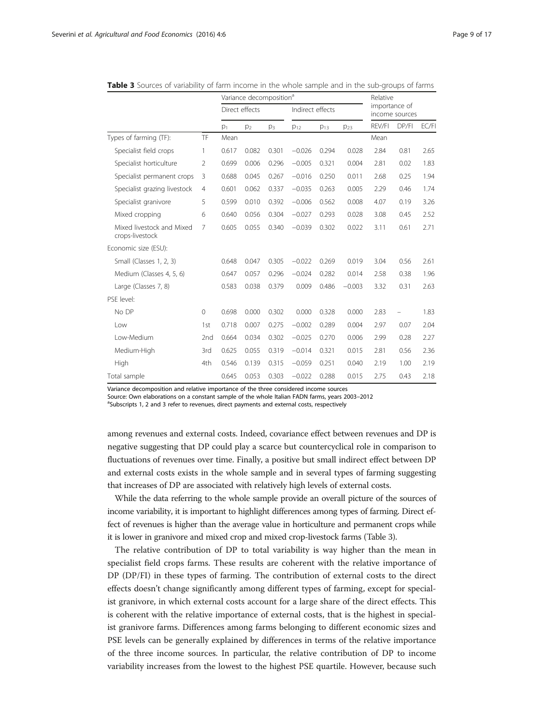|                                              |                 |       |                | Variance decomposition <sup>a</sup> |                  |          |          | Relative      |                |       |
|----------------------------------------------|-----------------|-------|----------------|-------------------------------------|------------------|----------|----------|---------------|----------------|-------|
|                                              |                 |       | Direct effects |                                     | Indirect effects |          |          | importance of | income sources |       |
|                                              |                 | $p_1$ | p <sub>2</sub> | $p_3$                               | $p_{12}$         | $p_{13}$ | $p_{23}$ | REV/FI        | DP/FI          | EC/FI |
| Types of farming (TF):                       | TF              | Mean  |                |                                     |                  |          |          | Mean          |                |       |
| Specialist field crops                       | 1               | 0.617 | 0.082          | 0.301                               | $-0.026$         | 0.294    | 0.028    | 2.84          | 0.81           | 2.65  |
| Specialist horticulture                      | $\overline{2}$  | 0.699 | 0.006          | 0.296                               | $-0.005$         | 0.321    | 0.004    | 2.81          | 0.02           | 1.83  |
| Specialist permanent crops                   | 3               | 0.688 | 0.045          | 0.267                               | $-0.016$         | 0.250    | 0.011    | 2.68          | 0.25           | 1.94  |
| Specialist grazing livestock                 | $\overline{4}$  | 0.601 | 0.062          | 0.337                               | $-0.035$         | 0.263    | 0.005    | 2.29          | 0.46           | 1.74  |
| Specialist granivore                         | 5               | 0.599 | 0.010          | 0.392                               | $-0.006$         | 0.562    | 0.008    | 4.07          | 0.19           | 3.26  |
| Mixed cropping                               | 6               | 0.640 | 0.056          | 0.304                               | $-0.027$         | 0.293    | 0.028    | 3.08          | 0.45           | 2.52  |
| Mixed livestock and Mixed<br>crops-livestock | 7               | 0.605 | 0.055          | 0.340                               | $-0.039$         | 0.302    | 0.022    | 3.11          | 0.61           | 2.71  |
| Economic size (ESU):                         |                 |       |                |                                     |                  |          |          |               |                |       |
| Small (Classes 1, 2, 3)                      |                 | 0.648 | 0.047          | 0.305                               | $-0.022$         | 0.269    | 0.019    | 3.04          | 0.56           | 2.61  |
| Medium (Classes 4, 5, 6)                     |                 | 0.647 | 0.057          | 0.296                               | $-0.024$         | 0.282    | 0.014    | 2.58          | 0.38           | 1.96  |
| Large (Classes 7, 8)                         |                 | 0.583 | 0.038          | 0.379                               | 0.009            | 0.486    | $-0.003$ | 3.32          | 0.31           | 2.63  |
| PSE level:                                   |                 |       |                |                                     |                  |          |          |               |                |       |
| No DP                                        | $\mathbf 0$     | 0.698 | 0.000          | 0.302                               | 0.000            | 0.328    | 0.000    | 2.83          |                | 1.83  |
| Low                                          | 1st             | 0.718 | 0.007          | 0.275                               | $-0.002$         | 0.289    | 0.004    | 2.97          | 0.07           | 2.04  |
| Low-Medium                                   | 2 <sub>nd</sub> | 0.664 | 0.034          | 0.302                               | $-0.025$         | 0.270    | 0.006    | 2.99          | 0.28           | 2.27  |
| Medium-High                                  | 3rd             | 0.625 | 0.055          | 0.319                               | $-0.014$         | 0.321    | 0.015    | 2.81          | 0.56           | 2.36  |
| High                                         | 4th             | 0.546 | 0.139          | 0.315                               | $-0.059$         | 0.251    | 0.040    | 2.19          | 1.00           | 2.19  |
| Total sample                                 |                 | 0.645 | 0.053          | 0.303                               | $-0.022$         | 0.288    | 0.015    | 2.75          | 0.43           | 2.18  |

<span id="page-8-0"></span>

|  |  |  |  | <b>Table 3</b> Sources of variability of farm income in the whole sample and in the sub-groups of farms |  |  |  |  |  |  |  |  |  |  |  |
|--|--|--|--|---------------------------------------------------------------------------------------------------------|--|--|--|--|--|--|--|--|--|--|--|
|--|--|--|--|---------------------------------------------------------------------------------------------------------|--|--|--|--|--|--|--|--|--|--|--|

Variance decomposition and relative importance of the three considered income sources

Source: Own elaborations on a constant sample of the whole Italian FADN farms, years 2003-2012

<sup>a</sup>Subscripts 1, 2 and 3 refer to revenues, direct payments and external costs, respectively

among revenues and external costs. Indeed, covariance effect between revenues and DP is negative suggesting that DP could play a scarce but countercyclical role in comparison to fluctuations of revenues over time. Finally, a positive but small indirect effect between DP and external costs exists in the whole sample and in several types of farming suggesting that increases of DP are associated with relatively high levels of external costs.

While the data referring to the whole sample provide an overall picture of the sources of income variability, it is important to highlight differences among types of farming. Direct effect of revenues is higher than the average value in horticulture and permanent crops while it is lower in granivore and mixed crop and mixed crop-livestock farms (Table 3).

The relative contribution of DP to total variability is way higher than the mean in specialist field crops farms. These results are coherent with the relative importance of DP (DP/FI) in these types of farming. The contribution of external costs to the direct effects doesn't change significantly among different types of farming, except for specialist granivore, in which external costs account for a large share of the direct effects. This is coherent with the relative importance of external costs, that is the highest in specialist granivore farms. Differences among farms belonging to different economic sizes and PSE levels can be generally explained by differences in terms of the relative importance of the three income sources. In particular, the relative contribution of DP to income variability increases from the lowest to the highest PSE quartile. However, because such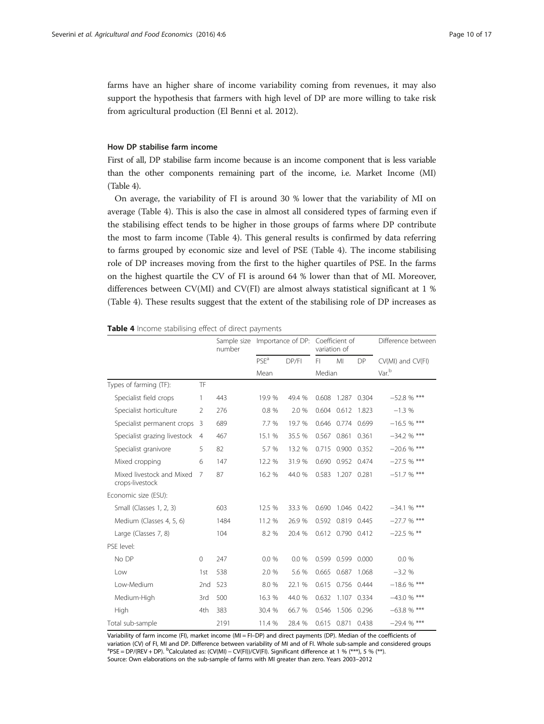<span id="page-9-0"></span>farms have an higher share of income variability coming from revenues, it may also support the hypothesis that farmers with high level of DP are more willing to take risk from agricultural production (El Benni et al. [2012](#page-16-0)).

### How DP stabilise farm income

First of all, DP stabilise farm income because is an income component that is less variable than the other components remaining part of the income, i.e. Market Income (MI) (Table 4).

On average, the variability of FI is around 30 % lower that the variability of MI on average (Table 4). This is also the case in almost all considered types of farming even if the stabilising effect tends to be higher in those groups of farms where DP contribute the most to farm income (Table 4). This general results is confirmed by data referring to farms grouped by economic size and level of PSE (Table 4). The income stabilising role of DP increases moving from the first to the higher quartiles of PSE. In the farms on the highest quartile the CV of FI is around 64 % lower than that of MI. Moreover, differences between CV(MI) and CV(FI) are almost always statistical significant at 1 % (Table 4). These results suggest that the extent of the stabilising role of DP increases as

| Table 4 Income stabilising effect of direct payments |  |  |
|------------------------------------------------------|--|--|
|------------------------------------------------------|--|--|

|                                              |                | Sample size<br>number |                  | Importance of DP: | variation of | Coefficient of    |             | Difference between |  |
|----------------------------------------------|----------------|-----------------------|------------------|-------------------|--------------|-------------------|-------------|--------------------|--|
|                                              |                |                       | PSE <sup>a</sup> | DP/FI             | FI.          | MI                | DP          | CV(MI) and CV(FI)  |  |
|                                              |                |                       | Mean             |                   | Median       |                   |             | Var. <sup>b</sup>  |  |
| Types of farming (TF):                       | TF             |                       |                  |                   |              |                   |             |                    |  |
| Specialist field crops                       | 1              | 443                   | 19.9 %           | 49.4 %            | 0.608        |                   | 1.287 0.304 | $-52.8$ % ***      |  |
| Specialist horticulture                      | $\overline{2}$ | 276                   | 0.8 %            | 2.0 %             |              | 0.604 0.612 1.823 |             | $-1.3%$            |  |
| Specialist permanent crops                   | 3              | 689                   | 7.7 %            | 19.7 %            |              | 0.646 0.774 0.699 |             | $-16.5 \%$ ***     |  |
| Specialist grazing livestock                 | $\overline{4}$ | 467                   | 15.1 %           | 35.5 %            |              | 0.567 0.861 0.361 |             | $-34.2 \%$ ***     |  |
| Specialist granivore                         | 5              | 82                    | 5.7 %            | 13.2 %            |              | 0.715 0.900 0.352 |             | $-20.6 \%$ ***     |  |
| Mixed cropping                               | 6              | 147                   | 12.2 %           | 31.9%             | 0.690        |                   | 0.952 0.474 | $-27.5 \%$ ***     |  |
| Mixed livestock and Mixed<br>crops-livestock | 7              | 87                    | 16.2 %           | 44.0 %            |              | 0.583 1.207 0.281 |             | $-51.7$ % ***      |  |
| Economic size (ESU):                         |                |                       |                  |                   |              |                   |             |                    |  |
| Small (Classes 1, 2, 3)                      |                | 603                   | 12.5 %           | 33.3 %            | 0.690        | 1.046 0.422       |             | $-34.1 \%$ ***     |  |
| Medium (Classes 4, 5, 6)                     |                | 1484                  | 11.2 %           | 26.9%             |              | 0.592 0.819 0.445 |             | $-27.7$ % ***      |  |
| Large (Classes 7, 8)                         |                | 104                   | 8.2 %            | 20.4 %            |              | 0.612 0.790 0.412 |             | $-22.5 \%$ **      |  |
| PSE level:                                   |                |                       |                  |                   |              |                   |             |                    |  |
| No DP                                        | 0              | 247                   | 0.0 %            | 0.0%              |              | 0.599 0.599       | 0.000       | 0.0%               |  |
| Low                                          | 1st            | 538                   | 2.0 %            | 5.6 %             | 0.665        | 0.687             | 1.068       | $-3.2%$            |  |
| Low-Medium                                   | 2nd            | 523                   | 8.0 %            | 22.1 %            | 0.615        | 0.756 0.444       |             | $-18.6 \%$ ***     |  |
| Medium-High                                  | 3rd            | 500                   | 16.3 %           | 44.0 %            | 0.632        | 1.107 0.334       |             | $-43.0 \%$ ***     |  |
| High                                         | 4th            | 383                   | 30.4 %           | 66.7 %            | 0.546        | 1.506 0.296       |             | $-63.8 \%$ ***     |  |
| Total sub-sample                             |                | 2191                  | 11.4 %           | 28.4 %            |              | 0.615 0.871       | 0.438       | $-29.4 \%$ ***     |  |

Variability of farm income (FI), market income (MI = FI–DP) and direct payments (DP). Median of the coefficients of variation (CV) of FI, MI and DP. Difference between variability of MI and of FI. Whole sub-sample and considered groups <sup>a</sup>PSE = DP/(REV + DP). <sup>b</sup>Calculated as: (CV(MI) – CV(FI))/CV(FI). Significant difference at 1 % (\*\*\*), 5 % (\*\*). Source: Own elaborations on the sub-sample of farms with MI greater than zero. Years 2003–2012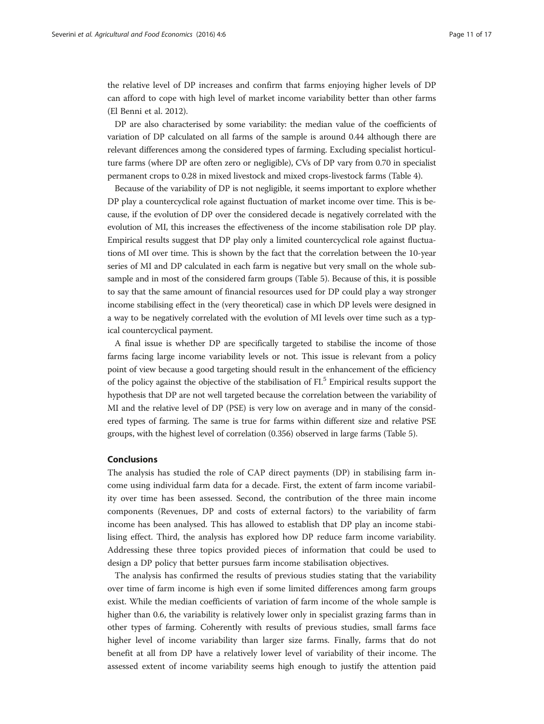the relative level of DP increases and confirm that farms enjoying higher levels of DP can afford to cope with high level of market income variability better than other farms (El Benni et al. [2012\)](#page-16-0).

DP are also characterised by some variability: the median value of the coefficients of variation of DP calculated on all farms of the sample is around 0.44 although there are relevant differences among the considered types of farming. Excluding specialist horticulture farms (where DP are often zero or negligible), CVs of DP vary from 0.70 in specialist permanent crops to 0.28 in mixed livestock and mixed crops-livestock farms (Table [4\)](#page-9-0).

Because of the variability of DP is not negligible, it seems important to explore whether DP play a countercyclical role against fluctuation of market income over time. This is because, if the evolution of DP over the considered decade is negatively correlated with the evolution of MI, this increases the effectiveness of the income stabilisation role DP play. Empirical results suggest that DP play only a limited countercyclical role against fluctuations of MI over time. This is shown by the fact that the correlation between the 10-year series of MI and DP calculated in each farm is negative but very small on the whole subsample and in most of the considered farm groups (Table [5\)](#page-11-0). Because of this, it is possible to say that the same amount of financial resources used for DP could play a way stronger income stabilising effect in the (very theoretical) case in which DP levels were designed in a way to be negatively correlated with the evolution of MI levels over time such as a typical countercyclical payment.

A final issue is whether DP are specifically targeted to stabilise the income of those farms facing large income variability levels or not. This issue is relevant from a policy point of view because a good targeting should result in the enhancement of the efficiency of the policy against the objective of the stabilisation of FI.<sup>5</sup> Empirical results support the hypothesis that DP are not well targeted because the correlation between the variability of MI and the relative level of DP (PSE) is very low on average and in many of the considered types of farming. The same is true for farms within different size and relative PSE groups, with the highest level of correlation (0.356) observed in large farms (Table [5](#page-11-0)).

## Conclusions

The analysis has studied the role of CAP direct payments (DP) in stabilising farm income using individual farm data for a decade. First, the extent of farm income variability over time has been assessed. Second, the contribution of the three main income components (Revenues, DP and costs of external factors) to the variability of farm income has been analysed. This has allowed to establish that DP play an income stabilising effect. Third, the analysis has explored how DP reduce farm income variability. Addressing these three topics provided pieces of information that could be used to design a DP policy that better pursues farm income stabilisation objectives.

The analysis has confirmed the results of previous studies stating that the variability over time of farm income is high even if some limited differences among farm groups exist. While the median coefficients of variation of farm income of the whole sample is higher than 0.6, the variability is relatively lower only in specialist grazing farms than in other types of farming. Coherently with results of previous studies, small farms face higher level of income variability than larger size farms. Finally, farms that do not benefit at all from DP have a relatively lower level of variability of their income. The assessed extent of income variability seems high enough to justify the attention paid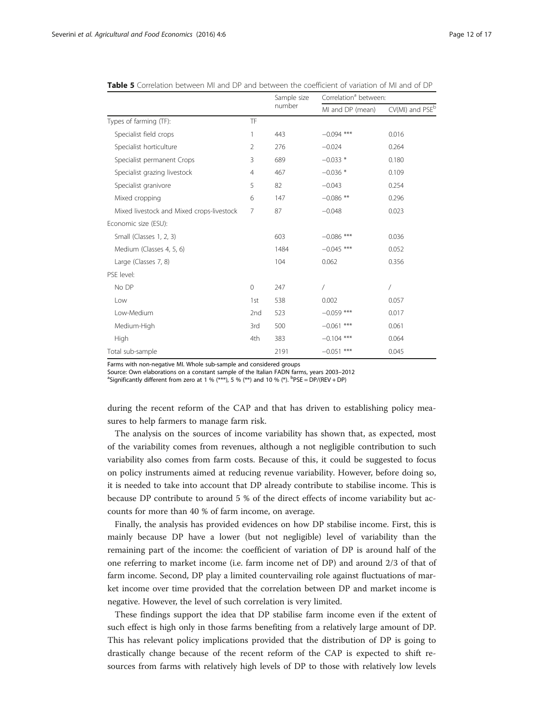|                                           |                | Sample size | Correlation <sup>a</sup> between: |                             |  |  |
|-------------------------------------------|----------------|-------------|-----------------------------------|-----------------------------|--|--|
|                                           |                | number      | MI and DP (mean)                  | CV(MI) and PSE <sup>b</sup> |  |  |
| Types of farming (TF):                    | TF             |             |                                   |                             |  |  |
| Specialist field crops                    | 1              | 443         | $-0.094$ ***                      | 0.016                       |  |  |
| Specialist horticulture                   | 2              | 276         | $-0.024$                          | 0.264                       |  |  |
| Specialist permanent Crops                | 3              | 689         | $-0.033*$                         | 0.180                       |  |  |
| Specialist grazing livestock              | $\overline{4}$ | 467         | $-0.036*$                         | 0.109                       |  |  |
| Specialist granivore                      | 5              | 82          | $-0.043$                          | 0.254                       |  |  |
| Mixed cropping                            | 6              | 147         | $-0.086$ **                       | 0.296                       |  |  |
| Mixed livestock and Mixed crops-livestock | $\overline{7}$ | 87          | $-0.048$                          | 0.023                       |  |  |
| Economic size (ESU):                      |                |             |                                   |                             |  |  |
| Small (Classes 1, 2, 3)                   |                | 603         | $-0.086$ ***                      | 0.036                       |  |  |
| Medium (Classes 4, 5, 6)                  |                | 1484        | $-0.045$ ***                      | 0.052                       |  |  |
| Large (Classes 7, 8)                      |                | 104         | 0.062                             | 0.356                       |  |  |
| PSE level:                                |                |             |                                   |                             |  |  |
| No DP                                     | $\circ$        | 247         | $\sqrt{2}$                        | $\sqrt{2}$                  |  |  |
| Low                                       | 1st            | 538         | 0.002                             | 0.057                       |  |  |
| Low-Medium                                | 2nd            | 523         | $-0.059$ ***                      | 0.017                       |  |  |
| Medium-High                               | 3rd            | 500         | $-0.061$ ***                      | 0.061                       |  |  |
| High                                      | 4th            | 383         | $-0.104$ ***                      | 0.064                       |  |  |
| Total sub-sample                          |                | 2191        | $-0.051$ ***                      | 0.045                       |  |  |

<span id="page-11-0"></span>Table 5 Correlation between MI and DP and between the coefficient of variation of MI and of DP

Farms with non-negative MI. Whole sub-sample and considered groups

Source: Own elaborations on a constant sample of the Italian FADN farms, years 2003-2012

Significantly different from zero at 1 % (\*\*\*), 5 % (\*\*) and 10 % (\*).  ${}^{b}$ PSE = DP/(REV + DP)

during the recent reform of the CAP and that has driven to establishing policy measures to help farmers to manage farm risk.

The analysis on the sources of income variability has shown that, as expected, most of the variability comes from revenues, although a not negligible contribution to such variability also comes from farm costs. Because of this, it could be suggested to focus on policy instruments aimed at reducing revenue variability. However, before doing so, it is needed to take into account that DP already contribute to stabilise income. This is because DP contribute to around 5 % of the direct effects of income variability but accounts for more than 40 % of farm income, on average.

Finally, the analysis has provided evidences on how DP stabilise income. First, this is mainly because DP have a lower (but not negligible) level of variability than the remaining part of the income: the coefficient of variation of DP is around half of the one referring to market income (i.e. farm income net of DP) and around 2/3 of that of farm income. Second, DP play a limited countervailing role against fluctuations of market income over time provided that the correlation between DP and market income is negative. However, the level of such correlation is very limited.

These findings support the idea that DP stabilise farm income even if the extent of such effect is high only in those farms benefiting from a relatively large amount of DP. This has relevant policy implications provided that the distribution of DP is going to drastically change because of the recent reform of the CAP is expected to shift resources from farms with relatively high levels of DP to those with relatively low levels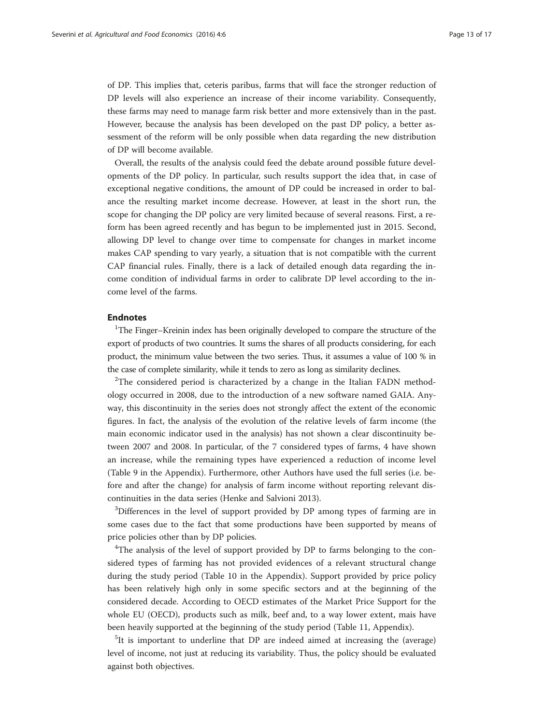of DP. This implies that, ceteris paribus, farms that will face the stronger reduction of DP levels will also experience an increase of their income variability. Consequently, these farms may need to manage farm risk better and more extensively than in the past. However, because the analysis has been developed on the past DP policy, a better assessment of the reform will be only possible when data regarding the new distribution of DP will become available.

Overall, the results of the analysis could feed the debate around possible future developments of the DP policy. In particular, such results support the idea that, in case of exceptional negative conditions, the amount of DP could be increased in order to balance the resulting market income decrease. However, at least in the short run, the scope for changing the DP policy are very limited because of several reasons. First, a reform has been agreed recently and has begun to be implemented just in 2015. Second, allowing DP level to change over time to compensate for changes in market income makes CAP spending to vary yearly, a situation that is not compatible with the current CAP financial rules. Finally, there is a lack of detailed enough data regarding the income condition of individual farms in order to calibrate DP level according to the income level of the farms.

## Endnotes

<sup>1</sup>The Finger-Kreinin index has been originally developed to compare the structure of the export of products of two countries. It sums the shares of all products considering, for each product, the minimum value between the two series. Thus, it assumes a value of 100 % in the case of complete similarity, while it tends to zero as long as similarity declines.

 $2$ The considered period is characterized by a change in the Italian FADN methodology occurred in 2008, due to the introduction of a new software named GAIA. Anyway, this discontinuity in the series does not strongly affect the extent of the economic figures. In fact, the analysis of the evolution of the relative levels of farm income (the main economic indicator used in the analysis) has not shown a clear discontinuity between 2007 and 2008. In particular, of the 7 considered types of farms, 4 have shown an increase, while the remaining types have experienced a reduction of income level (Table 9 in the [Appendix](#page-13-0)). Furthermore, other Authors have used the full series (i.e. before and after the change) for analysis of farm income without reporting relevant discontinuities in the data series (Henke and Salvioni [2013](#page-16-0)).

<sup>3</sup>Differences in the level of support provided by DP among types of farming are in some cases due to the fact that some productions have been supported by means of price policies other than by DP policies.

<sup>4</sup>The analysis of the level of support provided by DP to farms belonging to the considered types of farming has not provided evidences of a relevant structural change during the study period (Table 10 in the [Appendix](#page-13-0)). Support provided by price policy has been relatively high only in some specific sectors and at the beginning of the considered decade. According to OECD estimates of the Market Price Support for the whole EU (OECD), products such as milk, beef and, to a way lower extent, mais have been heavily supported at the beginning of the study period (Table 11, [Appendix](#page-13-0)).

<sup>5</sup>It is important to underline that DP are indeed aimed at increasing the (average) level of income, not just at reducing its variability. Thus, the policy should be evaluated against both objectives.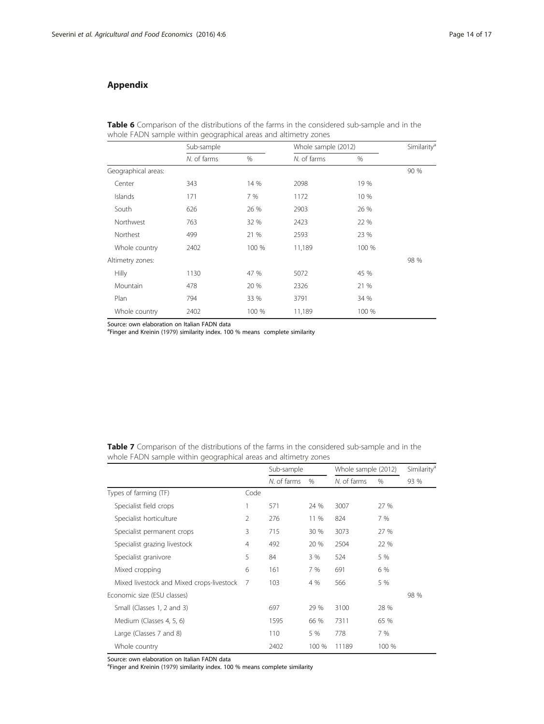# <span id="page-13-0"></span>Appendix

| Table 6 Comparison of the distributions of the farms in the considered sub-sample and in the |  |  |  |
|----------------------------------------------------------------------------------------------|--|--|--|
| whole FADN sample within geographical areas and altimetry zones                              |  |  |  |

|                     | Sub-sample  |       | Whole sample (2012) |               | Similarity <sup>a</sup> |  |
|---------------------|-------------|-------|---------------------|---------------|-------------------------|--|
|                     | N. of farms | %     | N. of farms         | $\frac{0}{0}$ |                         |  |
| Geographical areas: |             |       |                     |               | 90 %                    |  |
| Center              | 343         | 14 %  | 2098                | 19 %          |                         |  |
| Islands             | 171         | 7 %   | 1172                | 10 %          |                         |  |
| South               | 626         | 26 %  | 2903                | 26 %          |                         |  |
| Northwest           | 763         | 32 %  | 2423                | 22 %          |                         |  |
| Northest            | 499         | 21 %  | 2593                | 23 %          |                         |  |
| Whole country       | 2402        | 100 % | 11,189              | 100 %         |                         |  |
| Altimetry zones:    |             |       |                     |               | 98 %                    |  |
| <b>Hilly</b>        | 1130        | 47 %  | 5072                | 45 %          |                         |  |
| Mountain            | 478         | 20 %  | 2326                | 21 %          |                         |  |
| Plan                | 794         | 33 %  | 3791                | 34 %          |                         |  |
| Whole country       | 2402        | 100 % | 11,189              | 100 %         |                         |  |

Source: own elaboration on Italian FADN data

<sup>a</sup>Finger and Kreinin ([1979\)](#page-16-0) similarity index. 100 % means complete similarity

|                                           |                | Sub-sample  |       | Whole sample (2012) | Similarity <sup>a</sup> |      |
|-------------------------------------------|----------------|-------------|-------|---------------------|-------------------------|------|
|                                           |                | N. of farms | $\%$  | N. of farms         | $\%$                    | 93 % |
| Types of farming (TF)                     | Code           |             |       |                     |                         |      |
| Specialist field crops                    | 1              | 571         | 24 %  | 3007                | 27 %                    |      |
| Specialist horticulture                   | 2              | 276         | 11 %  | 824                 | 7 %                     |      |
| Specialist permanent crops                | 3              | 715         | 30 %  | 3073                | 27 %                    |      |
| Specialist grazing livestock              | $\overline{4}$ | 492         | 20 %  | 2504                | 22 %                    |      |
| Specialist granivore                      | 5              | 84          | 3 %   | 524                 | 5 %                     |      |
| Mixed cropping                            | 6              | 161         | 7 %   | 691                 | 6 %                     |      |
| Mixed livestock and Mixed crops-livestock | 7              | 103         | 4 %   | 566                 | 5 %                     |      |
| Economic size (ESU classes)               |                |             |       |                     |                         | 98 % |
| Small (Classes 1, 2 and 3)                |                | 697         | 29 %  | 3100                | 28 %                    |      |
| Medium (Classes 4, 5, 6)                  |                | 1595        | 66 %  | 7311                | 65 %                    |      |
| Large (Classes 7 and 8)                   |                | 110         | 5 %   | 778                 | 7 %                     |      |
| Whole country                             |                | 2402        | 100 % | 11189               | 100 %                   |      |

Table 7 Comparison of the distributions of the farms in the considered sub-sample and in the whole FADN sample within geographical areas and altimetry zones

Source: own elaboration on Italian FADN data

<sup>a</sup>Finger and Kreinin ([1979\)](#page-16-0) similarity index. 100 % means complete similarity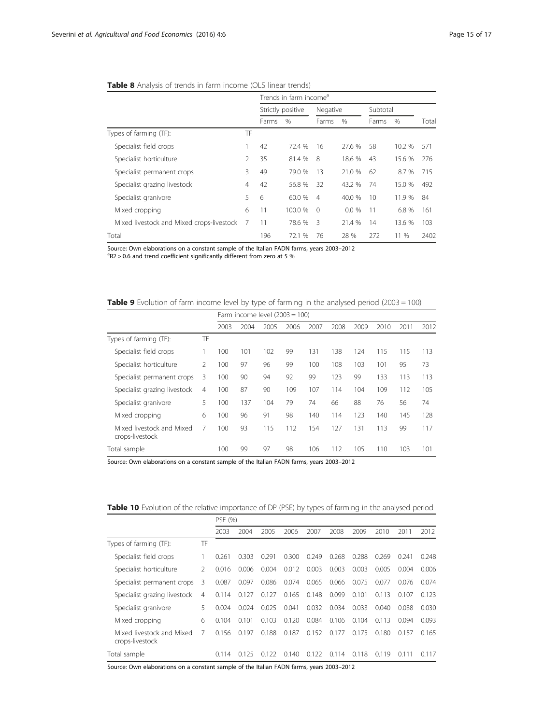|                                           |    | Trends in farm income <sup>a</sup> |                   |                |        |          |        |       |  |  |  |
|-------------------------------------------|----|------------------------------------|-------------------|----------------|--------|----------|--------|-------|--|--|--|
|                                           |    |                                    | Strictly positive | Negative       |        | Subtotal |        |       |  |  |  |
|                                           |    | Farms                              | $\%$              | Farms          | $\%$   | Farms    | $\%$   | Total |  |  |  |
| Types of farming (TF):                    | TF |                                    |                   |                |        |          |        |       |  |  |  |
| Specialist field crops                    |    | 42                                 | 72.4 %            | 16             | 27.6 % | 58       | 10.2 % | 571   |  |  |  |
| Specialist horticulture                   |    | 35                                 | 81.4 %            | 8              | 18.6 % | 43       | 15.6 % | 276   |  |  |  |
| Specialist permanent crops                | 3  | 49                                 | 79.0 %            | 13             | 21.0 % | 62       | 8.7 %  | 715   |  |  |  |
| Specialist grazing livestock              | 4  | 42                                 | 56.8 %            | 32             | 43.2 % | 74       | 15.0 % | 492   |  |  |  |
| Specialist granivore                      | 5  | 6                                  | 60.0 %            | $\overline{4}$ | 40.0 % | 10       | 11.9 % | 84    |  |  |  |
| Mixed cropping                            | 6  | 11                                 | 100.0 %           | $\Omega$       | 0.0%   | 11       | 6.8 %  | 161   |  |  |  |
| Mixed livestock and Mixed crops-livestock | -7 | 11                                 | 78.6 %            | 3              | 21.4 % | 14       | 13.6 % | 103   |  |  |  |
| Total                                     |    | 196                                | 72.1 %            | 76             | 28 %   | 272      | 11 %   | 2402  |  |  |  |

## Table 8 Analysis of trends in farm income (OLS linear trends)

Source: Own elaborations on a constant sample of the Italian FADN farms, years 2003-2012

 $R2 > 0.6$  and trend coefficient significantly different from zero at 5 %

Table 9 Evolution of farm income level by type of farming in the analysed period (2003 = 100)

|                                              |                | Farm income level $(2003 = 100)$ |      |      |      |      |      |      |      |      |      |
|----------------------------------------------|----------------|----------------------------------|------|------|------|------|------|------|------|------|------|
|                                              |                | 2003                             | 2004 | 2005 | 2006 | 2007 | 2008 | 2009 | 2010 | 2011 | 2012 |
| Types of farming (TF):                       | TF             |                                  |      |      |      |      |      |      |      |      |      |
| Specialist field crops                       |                | 100                              | 101  | 102  | 99   | 131  | 138  | 124  | 115  | 115  | 113  |
| Specialist horticulture                      | 2              | 100                              | 97   | 96   | 99   | 100  | 108  | 103  | 101  | 95   | 73   |
| Specialist permanent crops                   | 3              | 100                              | 90   | 94   | 92   | 99   | 123  | 99   | 133  | 113  | 113  |
| Specialist grazing livestock                 | $\overline{4}$ | 100                              | 87   | 90   | 109  | 107  | 114  | 104  | 109  | 112  | 105  |
| Specialist granivore                         | 5              | 100                              | 137  | 104  | 79   | 74   | 66   | 88   | 76   | 56   | 74   |
| Mixed cropping                               | 6              | 100                              | 96   | 91   | 98   | 140  | 114  | 123  | 140  | 145  | 128  |
| Mixed livestock and Mixed<br>crops-livestock | 7              | 100                              | 93   | 115  | 112  | 154  | 127  | 131  | 113  | 99   | 117  |
| Total sample                                 |                | 100                              | 99   | 97   | 98   | 106  | 112  | 105  | 110  | 103  | 101  |

Source: Own elaborations on a constant sample of the Italian FADN farms, years 2003–2012

| <b>Table 10</b> Evolution of the relative importance of DP (PSE) by types of farming in the analysed period |
|-------------------------------------------------------------------------------------------------------------|
|                                                                                                             |

|                                              |               | PSE (%)          |       |       |       |       |       |       |           |       |       |
|----------------------------------------------|---------------|------------------|-------|-------|-------|-------|-------|-------|-----------|-------|-------|
|                                              |               | 2003             | 2004  | 2005  | 2006  | 2007  | 2008  | 2009  | 2010      | 2011  | 2012  |
| Types of farming (TF):                       | TF            |                  |       |       |       |       |       |       |           |       |       |
| Specialist field crops                       |               | 0.261            | 0.303 | 0.291 | 0.300 | 0.249 | 0.268 | 0.288 | 0.269     | 0.241 | 0.248 |
| Specialist horticulture                      | $\mathcal{P}$ | 0.016            | 0.006 | 0.004 | 0.012 | 0.003 | 0.003 | 0.003 | 0.005     | 0.004 | 0.006 |
| Specialist permanent crops                   | 3             | 0.087            | 0.097 | 0.086 | 0.074 | 0.065 | 0.066 | 0.075 | 0.077     | 0.076 | 0.074 |
| Specialist grazing livestock                 | 4             | 14<br>$\Omega$ 1 | 0.127 | 0.127 | 0.165 | 0.148 | 0.099 | 0.101 | 13<br>0.1 | 0.107 | 0.123 |
| Specialist granivore                         | 5             | 0.024            | 0.024 | 0.025 | 0.041 | 0.032 | 0.034 | 0.033 | 0.040     | 0.038 | 0.030 |
| Mixed cropping                               | 6             | 0.104            | 0.101 | 0.103 | 0.120 | 0.084 | 0.106 | 0.104 | 13<br>()1 | 0.094 | 0.093 |
| Mixed livestock and Mixed<br>crops-livestock | 7             | 0.156            | 0197  | 0.188 | 0.187 | 0.152 | 0.177 | 0.175 | 0.180     | 0.157 | 0.165 |
| Total sample                                 |               | 0.1<br>14        | 0.125 | 0.122 | 0.140 | 0.122 | 0.114 | 0.118 | 0.1<br>19 | 0.111 | 0.117 |
|                                              |               |                  |       |       |       |       |       |       |           |       |       |

Source: Own elaborations on a constant sample of the Italian FADN farms, years 2003–2012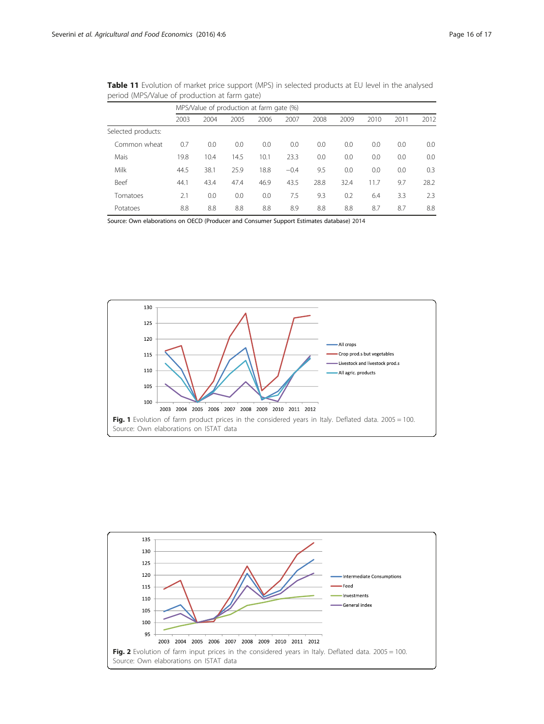|                    | MPS/Value of production at farm gate (%) |      |      |      |        |      |      |      |      |      |  |  |
|--------------------|------------------------------------------|------|------|------|--------|------|------|------|------|------|--|--|
|                    | 2003                                     | 2004 | 2005 | 2006 | 2007   | 2008 | 2009 | 2010 | 2011 | 2012 |  |  |
| Selected products: |                                          |      |      |      |        |      |      |      |      |      |  |  |
| Common wheat       | 0.7                                      | 0.0  | 0.0  | 0.0  | 0.0    | 0.0  | 0.0  | 0.0  | 0.0  | 0.0  |  |  |
| Mais               | 19.8                                     | 10.4 | 14.5 | 10.1 | 23.3   | 0.0  | 0.0  | 0.0  | 0.0  | 0.0  |  |  |
| Milk               | 44.5                                     | 38.1 | 25.9 | 18.8 | $-0.4$ | 9.5  | 0.0  | 0.0  | 0.0  | 0.3  |  |  |
| Beef               | 44.1                                     | 43.4 | 47.4 | 46.9 | 43.5   | 28.8 | 32.4 | 11.7 | 9.7  | 28.2 |  |  |
| Tomatoes           | 2.1                                      | 0.0  | 0.0  | 0.0  | 7.5    | 9.3  | 0.2  | 6.4  | 3.3  | 2.3  |  |  |
| Potatoes           | 8.8                                      | 8.8  | 8.8  | 8.8  | 8.9    | 8.8  | 8.8  | 8.7  | 8.7  | 8.8  |  |  |

Table 11 Evolution of market price support (MPS) in selected products at EU level in the analysed period (MPS/Value of production at farm gate)

Source: Own elaborations on OECD (Producer and Consumer Support Estimates database) [2014](#page-16-0)